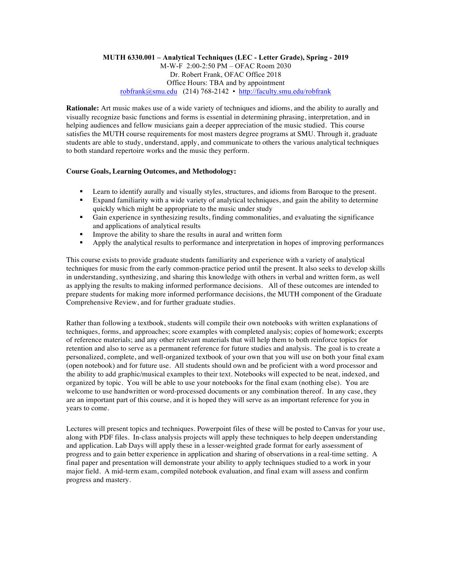## **MUTH 6330.001 – Analytical Techniques (LEC - Letter Grade), Spring - 2019** M-W-F 2:00-2:50 PM – OFAC Room 2030 Dr. Robert Frank, OFAC Office 2018 Office Hours: TBA and by appointment robfrank@smu.edu (214) 768-2142 • http://faculty.smu.edu/robfrank

**Rationale:** Art music makes use of a wide variety of techniques and idioms, and the ability to aurally and visually recognize basic functions and forms is essential in determining phrasing, interpretation, and in helping audiences and fellow musicians gain a deeper appreciation of the music studied. This course satisfies the MUTH course requirements for most masters degree programs at SMU. Through it, graduate students are able to study, understand, apply, and communicate to others the various analytical techniques to both standard repertoire works and the music they perform.

## **Course Goals, Learning Outcomes, and Methodology:**

- Learn to identify aurally and visually styles, structures, and idioms from Baroque to the present.
- Expand familiarity with a wide variety of analytical techniques, and gain the ability to determine quickly which might be appropriate to the music under study
- Gain experience in synthesizing results, finding commonalities, and evaluating the significance and applications of analytical results
- **•** Improve the ability to share the results in aural and written form
- § Apply the analytical results to performance and interpretation in hopes of improving performances

This course exists to provide graduate students familiarity and experience with a variety of analytical techniques for music from the early common-practice period until the present. It also seeks to develop skills in understanding, synthesizing, and sharing this knowledge with others in verbal and written form, as well as applying the results to making informed performance decisions. All of these outcomes are intended to prepare students for making more informed performance decisions, the MUTH component of the Graduate Comprehensive Review, and for further graduate studies.

Rather than following a textbook, students will compile their own notebooks with written explanations of techniques, forms, and approaches; score examples with completed analysis; copies of homework; excerpts of reference materials; and any other relevant materials that will help them to both reinforce topics for retention and also to serve as a permanent reference for future studies and analysis. The goal is to create a personalized, complete, and well-organized textbook of your own that you will use on both your final exam (open notebook) and for future use. All students should own and be proficient with a word processor and the ability to add graphic/musical examples to their text. Notebooks will expected to be neat, indexed, and organized by topic. You will be able to use your notebooks for the final exam (nothing else). You are welcome to use handwritten or word-processed documents or any combination thereof. In any case, they are an important part of this course, and it is hoped they will serve as an important reference for you in years to come.

Lectures will present topics and techniques. Powerpoint files of these will be posted to Canvas for your use, along with PDF files. In-class analysis projects will apply these techniques to help deepen understanding and application. Lab Days will apply these in a lesser-weighted grade format for early assessment of progress and to gain better experience in application and sharing of observations in a real-time setting. A final paper and presentation will demonstrate your ability to apply techniques studied to a work in your major field. A mid-term exam, compiled notebook evaluation, and final exam will assess and confirm progress and mastery.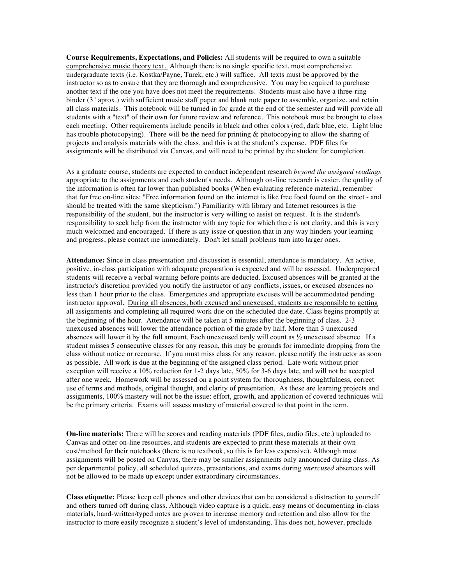**Course Requirements, Expectations, and Policies:** All students will be required to own a suitable comprehensive music theory text. Although there is no single specific text, most comprehensive undergraduate texts (i.e. Kostka/Payne, Turek, etc.) will suffice. All texts must be approved by the instructor so as to ensure that they are thorough and comprehensive. You may be required to purchase another text if the one you have does not meet the requirements. Students must also have a three-ring binder (3" aprox.) with sufficient music staff paper and blank note paper to assemble, organize, and retain all class materials. This notebook will be turned in for grade at the end of the semester and will provide all students with a "text" of their own for future review and reference. This notebook must be brought to class each meeting. Other requirements include pencils in black and other colors (red, dark blue, etc. Light blue has trouble photocopying). There will be the need for printing & photocopying to allow the sharing of projects and analysis materials with the class, and this is at the student's expense. PDF files for assignments will be distributed via Canvas, and will need to be printed by the student for completion.

As a graduate course, students are expected to conduct independent research *beyond the assigned readings*  appropriate to the assignments and each student's needs. Although on-line research is easier, the quality of the information is often far lower than published books (When evaluating reference material, remember that for free on-line sites: "Free information found on the internet is like free food found on the street - and should be treated with the same skepticism.") Familiarity with library and Internet resources is the responsibility of the student, but the instructor is very willing to assist on request. It is the student's responsibility to seek help from the instructor with any topic for which there is not clarity, and this is very much welcomed and encouraged. If there is any issue or question that in any way hinders your learning and progress, please contact me immediately. Don't let small problems turn into larger ones.

**Attendance:** Since in class presentation and discussion is essential, attendance is mandatory. An active, positive, in-class participation with adequate preparation is expected and will be assessed. Underprepared students will receive a verbal warning before points are deducted. Excused absences will be granted at the instructor's discretion provided you notify the instructor of any conflicts, issues, or excused absences no less than 1 hour prior to the class. Emergencies and appropriate excuses will be accommodated pending instructor approval. During all absences, both excused and unexcused, students are responsible to getting all assignments and completing all required work due on the scheduled due date. Class begins promptly at the beginning of the hour. Attendance will be taken at 5 minutes after the beginning of class. 2-3 unexcused absences will lower the attendance portion of the grade by half. More than 3 unexcused absences will lower it by the full amount. Each unexcused tardy will count as ½ unexcused absence. If a student misses 5 consecutive classes for any reason, this may be grounds for immediate dropping from the class without notice or recourse. If you must miss class for any reason, please notify the instructor as soon as possible. All work is due at the beginning of the assigned class period. Late work without prior exception will receive a 10% reduction for 1-2 days late, 50% for 3-6 days late, and will not be accepted after one week. Homework will be assessed on a point system for thoroughness, thoughtfulness, correct use of terms and methods, original thought, and clarity of presentation. As these are learning projects and assignments, 100% mastery will not be the issue: effort, growth, and application of covered techniques will be the primary criteria. Exams will assess mastery of material covered to that point in the term.

**On-line materials:** There will be scores and reading materials (PDF files, audio files, etc.) uploaded to Canvas and other on-line resources, and students are expected to print these materials at their own cost/method for their notebooks (there is no textbook, so this is far less expensive). Although most assignments will be posted on Canvas, there may be smaller assignments only announced during class. As per departmental policy, all scheduled quizzes, presentations, and exams during *unexcused* absences will not be allowed to be made up except under extraordinary circumstances.

**Class etiquette:** Please keep cell phones and other devices that can be considered a distraction to yourself and others turned off during class. Although video capture is a quick, easy means of documenting in-class materials, hand-written/typed notes are proven to increase memory and retention and also allow for the instructor to more easily recognize a student's level of understanding. This does not, however, preclude